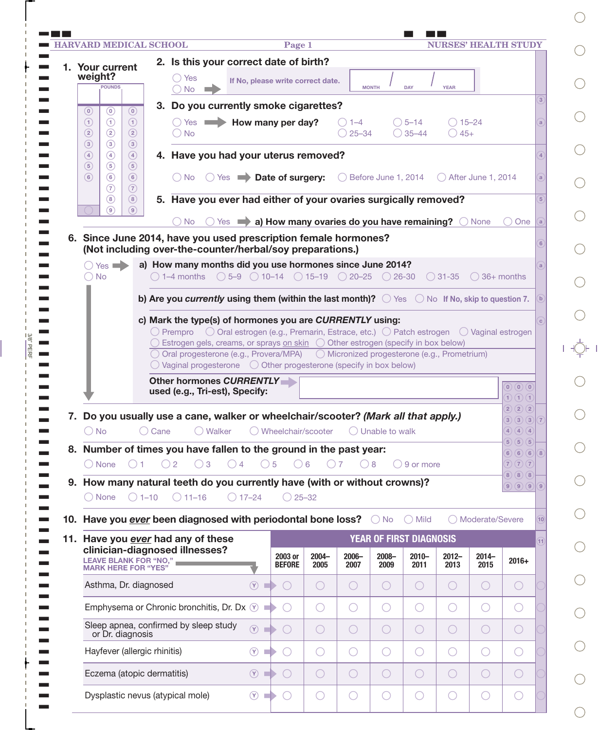|                                       |                                                 |                                                 | <b>HARVARD MEDICAL SCHOOL</b>         |              |                                             |                                                                                                                                                                                                             | Page 1           |                                  |                           |                                     | <b>NURSES' HEALTH STUDY</b>        |                   |                                                                  |                |
|---------------------------------------|-------------------------------------------------|-------------------------------------------------|---------------------------------------|--------------|---------------------------------------------|-------------------------------------------------------------------------------------------------------------------------------------------------------------------------------------------------------------|------------------|----------------------------------|---------------------------|-------------------------------------|------------------------------------|-------------------|------------------------------------------------------------------|----------------|
|                                       | 1. Your current                                 |                                                 |                                       |              |                                             | 2. Is this your correct date of birth?                                                                                                                                                                      |                  |                                  |                           |                                     |                                    |                   |                                                                  |                |
| weight?                               | <b>POUNDS</b>                                   |                                                 | () Yes<br>$\bigcap$ No                |              |                                             | If No, please write correct date.                                                                                                                                                                           |                  |                                  | <b>MONTH</b>              | <b>DAY</b>                          | <b>YEAR</b>                        |                   |                                                                  |                |
| $\circledcirc$                        | $\odot$                                         | $\circledcirc$                                  |                                       |              |                                             | 3. Do you currently smoke cigarettes?                                                                                                                                                                       |                  |                                  |                           |                                     |                                    |                   |                                                                  | 3              |
| $\bigodot$<br>$\circled{2}$           | $\odot$<br>$\circled{2}$                        | $\circled{1}$<br>$\circled{2}$                  | $\bigcirc$ No                         |              |                                             | $\bigcirc$ Yes $\blacksquare$ How many per day?                                                                                                                                                             |                  | $( ) 1 - 4 $<br>$\bigcirc$ 25-34 |                           | $\bigcirc$ 5-14<br>$\bigcirc$ 35-44 | $\bigcirc$ 15–24<br>$\bigcirc$ 45+ |                   |                                                                  | $\mathbf{a}$   |
| $\circled{3}$<br>$\circled{4}$<br>(5) | $\circled{3}$<br>$\circled{4}$<br>$\circled{5}$ | $\circled{3}$<br>$\circled{4}$<br>$\circled{5}$ |                                       |              |                                             | 4. Have you had your uterus removed?                                                                                                                                                                        |                  |                                  |                           |                                     |                                    |                   |                                                                  |                |
| $\circled{6}$                         | $\circled{6}$<br>(7)                            | $\circled{6}$<br>$\circled{7}$                  |                                       |              |                                             | ◯ No ◯ Yes   Date of surgery: ◯ Before June 1, 2014 ◯ After June 1, 2014                                                                                                                                    |                  |                                  |                           |                                     |                                    |                   |                                                                  | a              |
|                                       | (8)<br>$\circledcirc$                           | $\circled{8}$<br>(9)                            |                                       |              |                                             | 5. Have you ever had either of your ovaries surgically removed?                                                                                                                                             |                  |                                  |                           |                                     |                                    |                   |                                                                  | $5^{\circ}$    |
|                                       |                                                 |                                                 | $\bigcirc$ No                         |              |                                             | $\circ$ Yes $\rightarrow$ a) How many ovaries do you have remaining? $\circ$ None                                                                                                                           |                  |                                  |                           |                                     |                                    |                   | $()$ One                                                         | a              |
|                                       |                                                 |                                                 |                                       |              |                                             | 6. Since June 2014, have you used prescription female hormones?<br>(Not including over-the-counter/herbal/soy preparations.)                                                                                |                  |                                  |                           |                                     |                                    |                   |                                                                  | 6              |
| $\bigcirc$ No                         | $\bigcirc$ Yes $\blacksquare$                   |                                                 |                                       |              |                                             | a) How many months did you use hormones since June 2014?<br>$\bigcirc$ 1-4 months $\bigcirc$ 5-9 $\bigcirc$ 10-14 $\bigcirc$ 15-19 $\bigcirc$ 20-25 $\bigcirc$ 26-30 $\bigcirc$ 31-35 $\bigcirc$ 36+ months |                  |                                  |                           |                                     |                                    |                   |                                                                  |                |
|                                       |                                                 |                                                 |                                       |              |                                             | b) Are you currently using them (within the last month)? $\bigcirc$ Yes $\bigcirc$ No If No, skip to question 7.                                                                                            |                  |                                  |                           |                                     |                                    |                   |                                                                  |                |
|                                       |                                                 |                                                 |                                       |              |                                             | c) Mark the type(s) of hormones you are CURRENTLY using:                                                                                                                                                    |                  |                                  |                           |                                     |                                    |                   |                                                                  |                |
|                                       |                                                 |                                                 |                                       |              |                                             | $\bigcirc$ Prempro $\bigcirc$ Oral estrogen (e.g., Premarin, Estrace, etc.) $\bigcirc$ Patch estrogen $\bigcirc$ Vaginal estrogen                                                                           |                  |                                  |                           |                                     |                                    |                   |                                                                  |                |
|                                       |                                                 |                                                 |                                       |              |                                             | $\bigcirc$ Estrogen gels, creams, or sprays on skin $\bigcirc$ Other estrogen (specify in box below)<br>○ Oral progesterone (e.g., Provera/MPA) ○ Micronized progesterone (e.g., Prometrium)                |                  |                                  |                           |                                     |                                    |                   |                                                                  |                |
|                                       |                                                 |                                                 |                                       |              |                                             | $\bigcirc$ Vaginal progesterone $\bigcirc$ Other progesterone (specify in box below)                                                                                                                        |                  |                                  |                           |                                     |                                    |                   |                                                                  |                |
|                                       |                                                 |                                                 |                                       |              |                                             |                                                                                                                                                                                                             |                  |                                  |                           |                                     |                                    |                   |                                                                  |                |
|                                       |                                                 |                                                 |                                       |              | used (e.g., Tri-est), Specify:              | Other hormones CURRENTLY                                                                                                                                                                                    |                  |                                  |                           |                                     |                                    |                   | (0)(0)(0)<br>$\mathbf{1}$ $\mathbf{1}$ $\mathbf{1}$ $\mathbf{1}$ |                |
|                                       |                                                 |                                                 |                                       |              |                                             | 7. Do you usually use a cane, walker or wheelchair/scooter? (Mark all that apply.)                                                                                                                          |                  |                                  |                           |                                     |                                    |                   | (2)(2)(2)                                                        |                |
| $\bigcirc$ No                         |                                                 |                                                 | Cane                                  | ◯ Walker     |                                             | ◯ Wheelchair/scooter                                                                                                                                                                                        |                  |                                  | $\bigcirc$ Unable to walk |                                     |                                    |                   | (3)(3)(3)<br>(4)(4)(4)                                           |                |
|                                       |                                                 |                                                 |                                       |              |                                             | 8. Number of times you have fallen to the ground in the past year:                                                                                                                                          |                  |                                  |                           |                                     |                                    |                   | 5)(5)(5)<br>6<br>(6)(6)                                          | $\sqrt{8}$     |
|                                       | ◯ None                                          | $\bigcap$ 1                                     | $\bigcirc$ 2                          | $\bigcirc$ 3 | $\bigcirc$ 4                                | $\bigcirc$ 5                                                                                                                                                                                                | $\bigcirc$ 6     | $\bigcap$ 7                      | $\bigcirc$ 8              | $\bigcirc$ 9 or more                |                                    |                   | (7)(7)(7)<br>$\boxed{8}$<br>(8)(8)                               |                |
|                                       | ◯ None                                          | $\bigcirc$ 1-10                                 | $O$ 11-16                             |              | $\bigcirc$ 17-24                            | 9. How many natural teeth do you currently have (with or without crowns)?                                                                                                                                   | $\bigcirc$ 25-32 |                                  |                           |                                     |                                    |                   | 9) (9) (9)                                                       | $\overline{9}$ |
|                                       |                                                 |                                                 |                                       |              |                                             | 10. Have you ever been diagnosed with periodontal bone loss?                                                                                                                                                |                  |                                  | $\bigcirc$ No             | $\bigcirc$ Mild                     |                                    | ◯ Moderate/Severe |                                                                  | 10             |
|                                       |                                                 |                                                 | 11. Have you ever had any of these    |              |                                             |                                                                                                                                                                                                             |                  |                                  |                           | YEAR OF FIRST DIAGNOSIS             |                                    |                   |                                                                  | 11             |
|                                       |                                                 | LEAVE BLANK FOR "NO," I MARK HERE FOR "YES"     | clinician-diagnosed illnesses?        |              |                                             | 2003 or<br><b>BEFORE</b>                                                                                                                                                                                    | $2004 -$<br>2005 | $2006 -$<br>2007                 | $2008 -$<br>2009          | $2010 -$<br>2011                    | $2012 -$<br>2013                   | $2014 -$<br>2015  | $2016+$                                                          |                |
|                                       |                                                 | Asthma, Dr. diagnosed                           |                                       |              | $\circled{r}$                               | $\blacksquare$<br>$\left(\begin{array}{c} \end{array}\right)$                                                                                                                                               | O                | $\bigcirc$                       | $\bigcirc$                | $\bigcirc$                          | $\bigcirc$                         | O                 | $\bigcirc$                                                       |                |
|                                       |                                                 |                                                 |                                       |              | Emphysema or Chronic bronchitis, Dr. Dx (Y) | $\blacksquare$                                                                                                                                                                                              | $\bigcirc$       | $\bigcirc$                       | $\bigcirc$                | $\bigcirc$                          | $\bigcirc$                         | $\bigcirc$        | ○                                                                |                |
|                                       | or Dr. diagnosis                                |                                                 | Sleep apnea, confirmed by sleep study |              | $(\widehat{Y})$                             | $\blacksquare$<br>$\left(\begin{array}{c} \end{array}\right)$                                                                                                                                               | $\bigcirc$       | $\bigcirc$                       | $\bigcirc$                | $\bigcirc$                          | $\bigcirc$                         | $\bigcirc$        | $\bigcirc$                                                       |                |
|                                       |                                                 | Hayfever (allergic rhinitis)                    |                                       |              | $(\mathbf{Y})$                              | m.                                                                                                                                                                                                          | O                | $\bigcirc$                       | $\bigcirc$                | $\bigcirc$                          | $\bigcirc$                         | $\bigcirc$        | ◯                                                                |                |
|                                       |                                                 |                                                 | Eczema (atopic dermatitis)            |              | (Y)                                         | $\blacksquare$<br>$\left(\begin{array}{c} \end{array}\right)$                                                                                                                                               | $\bigcirc$       | $\bigcirc$                       | $\bigcirc$                | $\bigcirc$                          | $\bigcirc$                         | $\bigcirc$        | $\bigcirc$                                                       |                |

3/8" PERF

 $\frac{3/8}{7}$  PERF  $\frac{1}{2}$ 

I

f,

I.

f, I.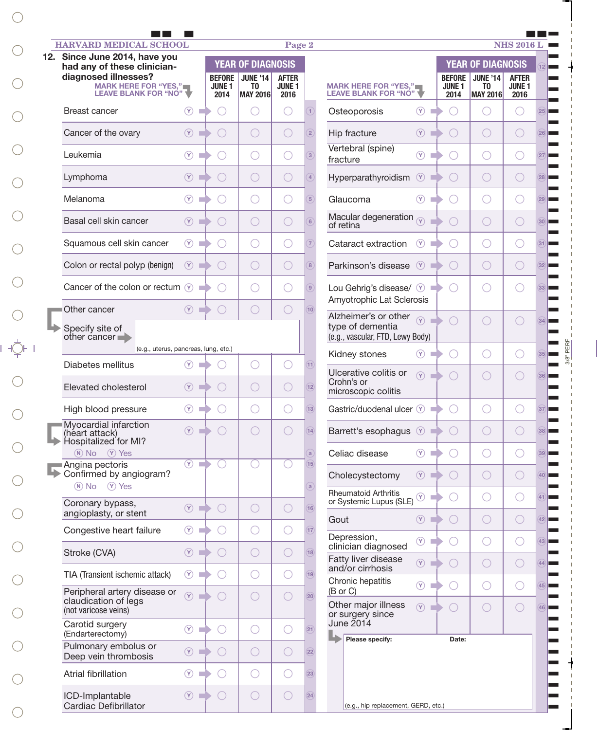| <b>HARVARD MEDICAL SCHOOL</b><br>12. Since June 2014, have you                                             |                                              |                                             |                                                                      | Page 2                                      |                                   |                                                                       |                                        |                                                                                  | <b>NHS 2016 L</b>                           |
|------------------------------------------------------------------------------------------------------------|----------------------------------------------|---------------------------------------------|----------------------------------------------------------------------|---------------------------------------------|-----------------------------------|-----------------------------------------------------------------------|----------------------------------------|----------------------------------------------------------------------------------|---------------------------------------------|
| had any of these clinician-<br>diagnosed illnesses?<br><b>MARK HERE FOR "YES,"</b><br>LEAVE BLANK FOR "NO" |                                              | <b>BEFORE</b><br><b>JUNE 1</b><br>2014      | <b>YEAR OF DIAGNOSIS</b><br><b>JUNE '14</b><br>TO<br><b>MAY 2016</b> | <b>AFTER</b><br><b>JUNE 1</b><br>2016       |                                   | <b>MARK HERE FOR "YES,"</b><br><b>LEAVE BLANK FOR "NO"</b>            | <b>BEFORE</b><br><b>JUNE 1</b><br>2014 | <b>YEAR OF DIAGNOSIS</b><br><b>JUNE '14</b><br>T <sub>0</sub><br><b>MAY 2016</b> | <b>AFTER</b><br><b>JUNE 1</b><br>2016       |
| Breast cancer                                                                                              | $\circled{r}$<br>m.                          |                                             |                                                                      |                                             |                                   | $(\mathbf{Y})$<br>Osteoporosis<br>m.                                  |                                        |                                                                                  |                                             |
| Cancer of the ovary                                                                                        | (9)                                          |                                             | $\bigcirc$                                                           | $\bigcirc$                                  | $\overline{2}$                    | Hip fracture<br>(Y)                                                   |                                        | $\bigcirc$                                                                       | $\bigcirc$                                  |
| Leukemia                                                                                                   | $\circled{r}$<br>m.                          |                                             | ○                                                                    | O                                           | $\sqrt{3}$                        | Vertebral (spine)<br>$\circled{r}$<br><b>COL</b><br>fracture          |                                        | ◯                                                                                | $\bigcirc$                                  |
| Lymphoma                                                                                                   | (9)                                          | $\left(\begin{array}{c} \end{array}\right)$ | $\bigcirc$                                                           | $\bigcirc$                                  | $\overline{4}$                    | $\circledcirc$<br>Hyperparathyroidism                                 |                                        | $\bigcirc$                                                                       | $\bigcirc$                                  |
| Melanoma                                                                                                   | $\circledcirc$                               |                                             | C                                                                    | O                                           | $\sqrt{5}$                        | $(\gamma)$<br>Glaucoma                                                |                                        | O                                                                                | $\left(\begin{array}{c} \end{array}\right)$ |
| Basal cell skin cancer                                                                                     | (9)                                          | $\left(\begin{array}{c} \end{array}\right)$ | $\bigcirc$                                                           | $\bigcirc$                                  | $\sqrt{6}$                        | Macular degeneration $\sqrt{\gamma}$<br>of retina                     |                                        | ○                                                                                | $\bigcirc$                                  |
| Squamous cell skin cancer                                                                                  | $\circ$                                      |                                             | O                                                                    | $\bigcirc$                                  | $\overline{7}$                    | Cataract extraction<br>(9)                                            |                                        | O                                                                                | O                                           |
| Colon or rectal polyp (benign)                                                                             | $\circ$ $\bullet$                            | $\left(\begin{array}{c} \end{array}\right)$ |                                                                      | $\bigcirc$                                  | $\sqrt{8}$                        | Parkinson's disease $(9)$                                             |                                        | $\bigcirc$                                                                       | $\bigcirc$                                  |
| Cancer of the colon or rectum $\mathcal{F}$                                                                |                                              |                                             |                                                                      | O                                           | $\boxed{9}$                       | Lou Gehrig's disease/ (Y)                                             |                                        |                                                                                  |                                             |
| Other cancer                                                                                               | (Y)                                          |                                             | O                                                                    | $\left(\begin{array}{c} \end{array}\right)$ | 10                                | Amyotrophic Lat Sclerosis<br>Alzheimer's or other $\sqrt{\gamma}$     |                                        |                                                                                  |                                             |
| Specify site of<br>other cancer                                                                            |                                              |                                             |                                                                      |                                             |                                   | type of dementia<br>(e.g., vascular, FTD, Lewy Body)                  |                                        | $\bigcirc$                                                                       | $\bigcirc$                                  |
| (e.g., uterus, pancreas, lung, etc.)                                                                       |                                              |                                             |                                                                      |                                             |                                   | $\circledcirc$ $\Box$<br>Kidney stones                                |                                        | $\bigcirc$                                                                       | $(\ )$                                      |
| Diabetes mellitus                                                                                          | $\circledcirc$ $\blacksquare$                |                                             | О                                                                    | $\bigcirc$                                  | 11                                | Ulcerative colitis or<br>(Y)<br>Crohn's or                            |                                        | $\bigcirc$                                                                       | O                                           |
| Elevated cholesterol                                                                                       | (9)                                          |                                             | O                                                                    | $\bigcirc$                                  | $\overline{12}$<br>13)            | microscopic colitis                                                   |                                        |                                                                                  |                                             |
| High blood pressure<br>Myocardial infarction                                                               | $\circledcirc$<br><b>COL</b>                 |                                             |                                                                      |                                             |                                   | Gastric/duodenal ulcer (Y)                                            |                                        |                                                                                  |                                             |
| (heart attack)<br>Hospitalized for MI?<br>(N) No (Y) Yes                                                   | $\circled{r}$<br><b>COL</b>                  |                                             |                                                                      |                                             | $\overline{14}$<br>$\overline{a}$ | $\circledcirc$<br>Barrett's esophagus<br>$\circledcirc$               |                                        | $\bigcirc$<br>$\bigcirc$                                                         |                                             |
| Angina pectoris<br>Confirmed by angiogram?                                                                 | $\circledcirc$<br>m.                         |                                             | ∩                                                                    |                                             | $\overline{15}$                   | Celiac disease<br>(9)<br>Cholecystectomy                              |                                        | $\bigcirc$                                                                       | O<br>$\bigcirc$                             |
| (N) No (Y) Yes                                                                                             |                                              |                                             |                                                                      |                                             | $\mathbf{a}$                      | <b>Rheumatoid Arthritis</b><br>$\circledcirc$<br>m.                   |                                        | О                                                                                | O                                           |
| Coronary bypass,<br>angioplasty, or stent                                                                  | $\circledcirc$ $\Box$                        |                                             | $\bigcirc$                                                           | $\bigcirc$                                  | $\overline{16}$                   | or Systemic Lupus (SLE)<br>(9)<br>Gout                                |                                        | $\bigcirc$                                                                       | $\bigcirc$                                  |
| Congestive heart failure                                                                                   | $\circledcirc$                               |                                             | $\bigcirc$                                                           | O                                           | $\overline{17}$                   | Depression,<br>$\circled{r}$<br><b>COL</b>                            |                                        | $\bigcirc$                                                                       | O                                           |
| Stroke (CVA)                                                                                               | $\circledcirc$ $\Box$                        |                                             | $\bigcirc$                                                           | $\bigcirc$                                  | $\overline{18}$                   | clinician diagnosed<br>Fatty liver disease<br>(9)                     |                                        | $\bigcirc$                                                                       | $\bigcirc$                                  |
| TIA (Transient ischemic attack)                                                                            | $\circled{r}$                                |                                             | $\bigcirc$                                                           | $\bigcirc$                                  | $\overline{19}$                   | and/or cirrhosis<br>Chronic hepatitis<br>$\circledcirc$<br><b>COL</b> |                                        | $\bigcirc$                                                                       | O                                           |
| Peripheral artery disease or<br>claudication of legs<br>(not varicose veins)                               | $(\widehat{Y})$<br><b>The Second Service</b> |                                             | $\bigcirc$                                                           | $\bigcirc$                                  | $\boxed{20}$                      | $(B \text{ or } C)$<br>Other major illness<br>(9)<br>or surgery since |                                        | $\bigcirc$                                                                       | $\bigcirc$                                  |
| Carotid surgery<br>(Endarterectomy)                                                                        | $\circledcirc$                               |                                             | $\bigcirc$                                                           | O                                           | (21)                              | June 2014<br>Please specify:                                          | Date:                                  |                                                                                  |                                             |
| Pulmonary embolus or<br>Deep vein thrombosis                                                               | $\circled{r}$<br>×                           |                                             | $\bigcirc$                                                           | $\bigcirc$                                  | $\overline{22}$                   |                                                                       |                                        |                                                                                  |                                             |
| Atrial fibrillation                                                                                        | $\circledcirc$                               |                                             | $\bigcirc$                                                           | O                                           | $\boxed{23}$                      |                                                                       |                                        |                                                                                  |                                             |
| ICD-Implantable<br>Cardiac Defibrillator                                                                   | $\circ$                                      | $\bigcirc$                                  | $\bigcirc$                                                           | $\bigcirc$                                  | (24)                              | (e.g., hip replacement, GERD, etc.)                                   |                                        |                                                                                  |                                             |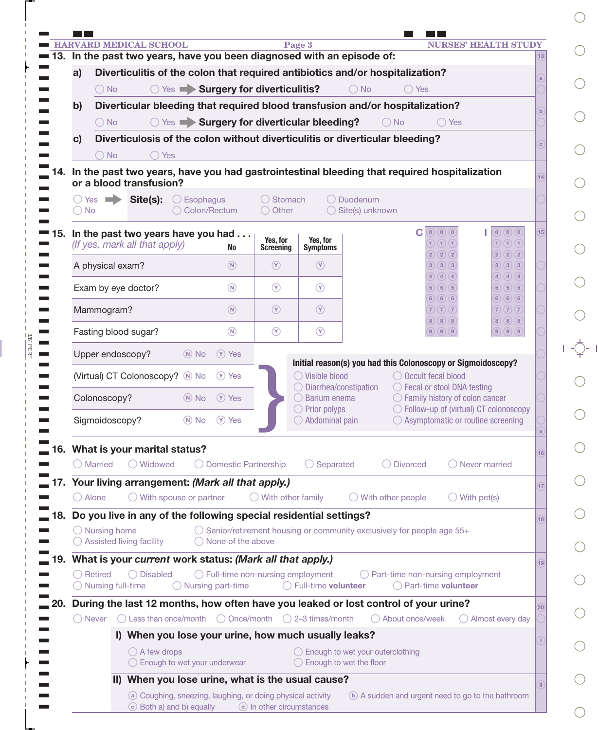|       |                                                                                     | 13. In the past two years, have you been diagnosed with an episode of:                          |                                    |                                                                                                                                                 |                                                            |  |  |  |  |
|-------|-------------------------------------------------------------------------------------|-------------------------------------------------------------------------------------------------|------------------------------------|-------------------------------------------------------------------------------------------------------------------------------------------------|------------------------------------------------------------|--|--|--|--|
|       | Diverticulitis of the colon that required antibiotics and/or hospitalization?<br>a) |                                                                                                 |                                    |                                                                                                                                                 |                                                            |  |  |  |  |
|       | ○ Yes Surgery for diverticulitis?<br>$\bigcirc$ No<br>$\bigcap$ Yes<br>( ) No       |                                                                                                 |                                    |                                                                                                                                                 |                                                            |  |  |  |  |
|       | b)                                                                                  | Diverticular bleeding that required blood transfusion and/or hospitalization?                   |                                    |                                                                                                                                                 |                                                            |  |  |  |  |
|       |                                                                                     | ◯ Yes Surgery for diverticular bleeding?<br>$\bigcap$ No<br>$\bigcap$ Yes<br>$()$ No            |                                    |                                                                                                                                                 |                                                            |  |  |  |  |
|       | C)                                                                                  |                                                                                                 |                                    | Diverticulosis of the colon without diverticulitis or diverticular bleeding?                                                                    |                                                            |  |  |  |  |
|       |                                                                                     | $\bigcirc$ Yes<br>◯ No                                                                          |                                    | 14. In the past two years, have you had gastrointestinal bleeding that required hospitalization                                                 |                                                            |  |  |  |  |
|       |                                                                                     | or a blood transfusion?                                                                         |                                    |                                                                                                                                                 |                                                            |  |  |  |  |
|       | $\bigcirc$ No                                                                       | ○ Yes → Site(s):<br>$\bigcirc$ Esophagus<br>◯ Colon/Rectum                                      | ◯ Stomach<br>$\bigcirc$ Other      | ◯ Duodenum<br>◯ Site(s) unknown                                                                                                                 |                                                            |  |  |  |  |
| ■ 15. |                                                                                     | In the past two years have you had<br>(If yes, mark all that apply)                             | Yes, for<br>Screening<br><b>No</b> | C<br>Yes, for<br>1) (1) (1)<br><b>Symptoms</b><br>2)(2)<br>(2)                                                                                  | $(0)$ $(0)$<br>$\boxed{0}$<br>15<br>1) (1) (1)<br>2)(2)(2) |  |  |  |  |
|       |                                                                                     | $\circledR$<br>A physical exam?                                                                 | $\circled{r}$                      | $\circled{r}$<br>3)(3)<br>(3)                                                                                                                   | 3) (3) (3)                                                 |  |  |  |  |
|       |                                                                                     | $(\widehat{N})$<br>Exam by eye doctor?                                                          | $\circled{r}$                      | (4)<br>(4)<br>$\circled{r}$<br>5)(5)(5)                                                                                                         | 4)(4)(4)<br>5) (5) (5)                                     |  |  |  |  |
|       |                                                                                     | $\circledR$<br>Mammogram?                                                                       | $\circled{r}$                      | (6)<br>(6)<br>6)<br>$\circled{r}$<br>7)(7)(7)<br>8)(8)(8)                                                                                       | 6) 6) 6<br>(7)(7)(7)<br>$8)$ $(8)$ $(8)$                   |  |  |  |  |
|       |                                                                                     | $\circledR$<br>Fasting blood sugar?                                                             | $\circled{r}$                      | $\circled{r}$<br>(9)(9)(9)                                                                                                                      | 9) (9) (9)                                                 |  |  |  |  |
|       |                                                                                     | (Y) Yes<br>Upper endoscopy?<br>$(N)$ No                                                         |                                    |                                                                                                                                                 |                                                            |  |  |  |  |
|       |                                                                                     | (Virtual) CT Colonoscopy? M No<br>(Y) Yes                                                       |                                    | Initial reason(s) you had this Colonoscopy or Sigmoidoscopy?<br>$\bigcirc$ Visible blood<br>◯ Occult fecal blood                                |                                                            |  |  |  |  |
|       |                                                                                     | (Y) Yes<br>Colonoscopy?<br>$(N)$ No                                                             |                                    | ◯ Diarrhea/constipation<br>◯ Fecal or stool DNA testing<br>Barium enema<br>$\bigcirc$ Family history of colon cancer                            |                                                            |  |  |  |  |
|       |                                                                                     | Sigmoidoscopy?<br>$(N)$ No<br>(Y) Yes                                                           |                                    | $\bigcirc$ Prior polyps<br>◯ Follow-up of (virtual) CT colonoscopy<br>$\bigcirc$ Abdominal pain<br>$\bigcirc$ Asymptomatic or routine screening |                                                            |  |  |  |  |
|       |                                                                                     |                                                                                                 |                                    |                                                                                                                                                 |                                                            |  |  |  |  |
| 16.   |                                                                                     | What is your marital status?<br>O Married<br>◯ Widowed                                          | ◯ Domestic Partnership             | Separated<br>◯ Divorced<br>$\bigcap$ Never married<br>$($ )                                                                                     | 16                                                         |  |  |  |  |
| 17.   |                                                                                     | Your living arrangement: (Mark all that apply.)                                                 |                                    |                                                                                                                                                 |                                                            |  |  |  |  |
|       | ( ) Alone                                                                           | $\bigcirc$ With spouse or partner                                                               | $\bigcirc$ With other family       | $\bigcirc$ With pet(s)<br>With other people                                                                                                     | 17                                                         |  |  |  |  |
| 18.   |                                                                                     | Do you live in any of the following special residential settings?                               |                                    |                                                                                                                                                 | 18                                                         |  |  |  |  |
|       |                                                                                     | $\bigcirc$ Nursing home<br>$\bigcirc$ Assisted living facility                                  | $\bigcap$ None of the above        | $\bigcirc$ Senior/retirement housing or community exclusively for people age 55+                                                                |                                                            |  |  |  |  |
| 19.   |                                                                                     | What is your current work status: (Mark all that apply.)                                        |                                    |                                                                                                                                                 |                                                            |  |  |  |  |
|       |                                                                                     | $\bigcap$ Retired<br>◯ Disabled<br>$\bigcirc$ Nursing full-time<br>$\bigcirc$ Nursing part-time | ◯ Full-time non-nursing employment | $\bigcirc$ Part-time non-nursing employment<br>◯ Full-time volunteer<br>◯ Part-time volunteer                                                   | 19                                                         |  |  |  |  |
| 20.   |                                                                                     |                                                                                                 |                                    | During the last 12 months, how often have you leaked or lost control of your urine?                                                             | 20                                                         |  |  |  |  |
|       | ( ) Never                                                                           | $\bigcirc$ Less than once/month $\bigcirc$ Once/month $\bigcirc$ 2-3 times/month                |                                    | ◯ About once/week                                                                                                                               | ◯ Almost every day                                         |  |  |  |  |
|       |                                                                                     | I) When you lose your urine, how much usually leaks?                                            |                                    |                                                                                                                                                 |                                                            |  |  |  |  |
|       |                                                                                     | $\bigcirc$ A few drops<br>◯ Enough to wet your underwear                                        |                                    | ◯ Enough to wet your outerclothing<br>$\bigcirc$ Enough to wet the floor                                                                        |                                                            |  |  |  |  |
|       |                                                                                     | II) When you lose urine, what is the usual cause?                                               |                                    |                                                                                                                                                 |                                                            |  |  |  |  |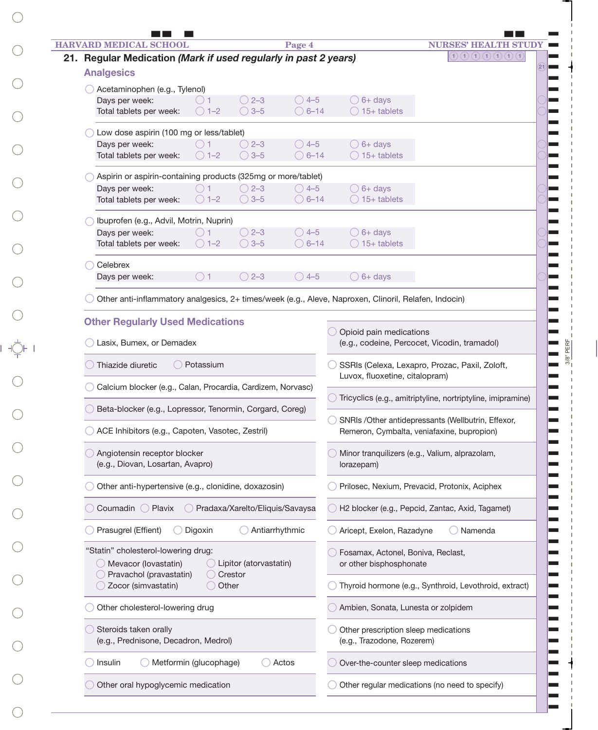| <b>HARVARD MEDICAL SCHOOL</b>                                                                         |                        |                                   | Page 4          |                                                | <b>NURSES' HEAL</b>                                                                                                                               |  |  |  |  |  |
|-------------------------------------------------------------------------------------------------------|------------------------|-----------------------------------|-----------------|------------------------------------------------|---------------------------------------------------------------------------------------------------------------------------------------------------|--|--|--|--|--|
| 21. Regular Medication (Mark if used regularly in past 2 years)                                       |                        |                                   |                 |                                                | $\mathfrak{D}\left( \mathfrak{D}\left( \mathfrak{D}\left( \mathfrak{D}\right) \mathfrak{D}\left( \mathfrak{D}\right) \mathfrak{D}\right) \right)$ |  |  |  |  |  |
| <b>Analgesics</b>                                                                                     |                        |                                   |                 |                                                |                                                                                                                                                   |  |  |  |  |  |
| Acetaminophen (e.g., Tylenol)                                                                         |                        |                                   |                 |                                                |                                                                                                                                                   |  |  |  |  |  |
| Days per week:                                                                                        |                        | $\bigcirc$ 2-3                    | $\bigcirc$ 4-5  | $\bigcirc$ 6+ days                             |                                                                                                                                                   |  |  |  |  |  |
| Total tablets per week:                                                                               | $\bigcirc$ 1-2         | $\bigcirc$ 3-5                    | $\bigcirc$ 6-14 | $\bigcirc$ 15+ tablets                         |                                                                                                                                                   |  |  |  |  |  |
| Low dose aspirin (100 mg or less/tablet)                                                              |                        |                                   |                 |                                                |                                                                                                                                                   |  |  |  |  |  |
| Days per week:                                                                                        |                        | $\bigcirc$ 2-3                    | $\bigcirc$ 4-5  | $\bigcirc$ 6+ days                             |                                                                                                                                                   |  |  |  |  |  |
| Total tablets per week:                                                                               | $\bigcirc$ 1–2         | $\bigcirc$ 3-5                    | $\bigcirc$ 6-14 | $\bigcirc$ 15+ tablets                         |                                                                                                                                                   |  |  |  |  |  |
| Aspirin or aspirin-containing products (325mg or more/tablet)                                         |                        |                                   |                 |                                                |                                                                                                                                                   |  |  |  |  |  |
| Days per week:                                                                                        |                        | $\bigcirc$ 2-3                    | $\bigcirc$ 4-5  | $\bigcirc$ 6+ days                             |                                                                                                                                                   |  |  |  |  |  |
| Total tablets per week:                                                                               | $\bigcirc$ 1-2         | $\bigcirc$ 3-5                    | $\bigcirc$ 6-14 | $\bigcirc$ 15+ tablets                         |                                                                                                                                                   |  |  |  |  |  |
| Ibuprofen (e.g., Advil, Motrin, Nuprin)                                                               |                        |                                   |                 |                                                |                                                                                                                                                   |  |  |  |  |  |
| Days per week:                                                                                        |                        | $\bigcirc$ 2-3                    | $\bigcirc$ 4-5  | $\bigcirc$ 6+ days                             |                                                                                                                                                   |  |  |  |  |  |
| Total tablets per week:                                                                               | $\bigcirc$ 1-2         | $\bigcirc$ 3-5                    | $\bigcirc$ 6-14 | $\bigcirc$ 15+ tablets                         |                                                                                                                                                   |  |  |  |  |  |
| Celebrex                                                                                              |                        |                                   |                 |                                                |                                                                                                                                                   |  |  |  |  |  |
| Days per week:                                                                                        | ()1                    | $\bigcirc$ 2-3                    | $\bigcirc$ 4-5  | $\bigcirc$ 6+ days                             |                                                                                                                                                   |  |  |  |  |  |
|                                                                                                       |                        |                                   |                 |                                                |                                                                                                                                                   |  |  |  |  |  |
| Other anti-inflammatory analgesics, 2+ times/week (e.g., Aleve, Naproxen, Clinoril, Relafen, Indocin) |                        |                                   |                 |                                                |                                                                                                                                                   |  |  |  |  |  |
| <b>Other Regularly Used Medications</b>                                                               |                        |                                   |                 |                                                |                                                                                                                                                   |  |  |  |  |  |
|                                                                                                       |                        |                                   |                 | Opioid pain medications                        |                                                                                                                                                   |  |  |  |  |  |
| Lasix, Bumex, or Demadex                                                                              |                        |                                   |                 | (e.g., codeine, Percocet, Vicodin, tramadol)   |                                                                                                                                                   |  |  |  |  |  |
| Thiazide diuretic                                                                                     | Potassium              |                                   |                 | SSRIs (Celexa, Lexapro, Prozac, Paxil, Zoloft, |                                                                                                                                                   |  |  |  |  |  |
|                                                                                                       |                        |                                   |                 | Luvox, fluoxetine, citalopram)                 |                                                                                                                                                   |  |  |  |  |  |
| Calcium blocker (e.g., Calan, Procardia, Cardizem, Norvasc)                                           |                        |                                   |                 |                                                | Tricyclics (e.g., amitriptyline, nortriptyline, imipramine)                                                                                       |  |  |  |  |  |
| Beta-blocker (e.g., Lopressor, Tenormin, Corgard, Coreg)                                              |                        |                                   |                 |                                                |                                                                                                                                                   |  |  |  |  |  |
|                                                                                                       |                        |                                   |                 |                                                | SNRIs /Other antidepressants (Wellbutrin, Effexor,                                                                                                |  |  |  |  |  |
| ACE Inhibitors (e.g., Capoten, Vasotec, Zestril)                                                      |                        |                                   |                 |                                                | Remeron, Cymbalta, veniafaxine, bupropion)                                                                                                        |  |  |  |  |  |
| Angiotensin receptor blocker                                                                          |                        |                                   |                 |                                                | Minor tranquilizers (e.g., Valium, alprazolam,                                                                                                    |  |  |  |  |  |
| (e.g., Diovan, Losartan, Avapro)                                                                      |                        |                                   |                 | lorazepam)                                     |                                                                                                                                                   |  |  |  |  |  |
| Other anti-hypertensive (e.g., clonidine, doxazosin)                                                  |                        |                                   |                 |                                                | Prilosec, Nexium, Prevacid, Protonix, Aciphex                                                                                                     |  |  |  |  |  |
| Coumadin O Plavix                                                                                     |                        | O Pradaxa/Xarelto/Eliquis/Savaysa |                 |                                                | H2 blocker (e.g., Pepcid, Zantac, Axid, Tagamet)                                                                                                  |  |  |  |  |  |
|                                                                                                       |                        |                                   |                 |                                                |                                                                                                                                                   |  |  |  |  |  |
| Prasugrel (Effient)                                                                                   | Digoxin                |                                   | Antiarrhythmic  | Aricept, Exelon, Razadyne<br>O Namenda         |                                                                                                                                                   |  |  |  |  |  |
| "Statin" cholesterol-lowering drug:                                                                   |                        |                                   |                 | Fosamax, Actonel, Boniva, Reclast,             |                                                                                                                                                   |  |  |  |  |  |
| Mevacor (lovastatin)                                                                                  |                        | ◯ Lipitor (atorvastatin)          |                 | or other bisphosphonate                        |                                                                                                                                                   |  |  |  |  |  |
| Pravachol (pravastatin)<br>Zocor (simvastatin)                                                        | ◯ Other                | ◯ Crestor                         |                 |                                                | Thyroid hormone (e.g., Synthroid, Levothroid, extract)                                                                                            |  |  |  |  |  |
| Other cholesterol-lowering drug                                                                       |                        |                                   |                 |                                                |                                                                                                                                                   |  |  |  |  |  |
|                                                                                                       |                        |                                   |                 | Ambien, Sonata, Lunesta or zolpidem            |                                                                                                                                                   |  |  |  |  |  |
| Steroids taken orally                                                                                 |                        |                                   |                 | Other prescription sleep medications           |                                                                                                                                                   |  |  |  |  |  |
| (e.g., Prednisone, Decadron, Medrol)                                                                  |                        |                                   |                 | (e.g., Trazodone, Rozerem)                     |                                                                                                                                                   |  |  |  |  |  |
|                                                                                                       |                        |                                   | Actos           | Over-the-counter sleep medications             |                                                                                                                                                   |  |  |  |  |  |
| Insulin                                                                                               | Metformin (glucophage) |                                   |                 |                                                |                                                                                                                                                   |  |  |  |  |  |

 $\bigcirc$ 

 $\bigcirc$ 

 $\bigcirc$ 

 $\bigcirc$ 

 $\bigcirc$ 

 $\bigcirc$ 

 $\bigcirc$ 

 $\bigcirc$ 

 $\bigcirc$ 

 $\bigcirc$ 

 $\begin{picture}(20,5) \put(0,0){\line(1,0){155}} \put(15,0){\line(1,0){155}} \put(15,0){\line(1,0){155}} \put(15,0){\line(1,0){155}} \put(15,0){\line(1,0){155}} \put(15,0){\line(1,0){155}} \put(15,0){\line(1,0){155}} \put(15,0){\line(1,0){155}} \put(15,0){\line(1,0){155}} \put(15,0){\line(1,0){155}} \put(15,0){\line(1,0){155}} \put$ 

 $\bigcirc$ 

 $\bigcirc$ 

 $\bigcirc$ 

 $\bigcirc$ 

 $\bigcirc$ 

 $\bigcirc$ 

 $\bigcirc$ 

 $\bigcirc$ 

 $\bigcirc$ 

 $\bigcirc$ 

 $\bigcirc$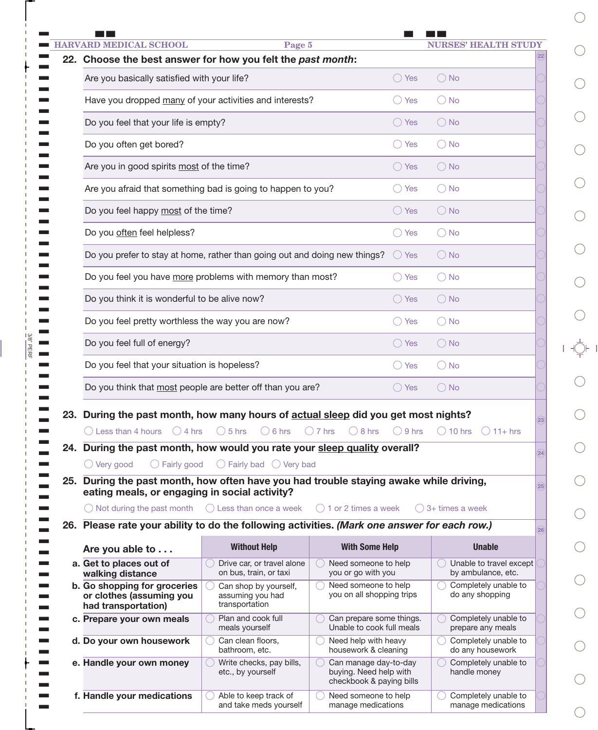|  | <b>HARVARD MEDICAL SCHOOL</b>                                                                                                                                                                                                                              | Page 5                                                                            |                                                                             |                  | <b>NURSES' HEALTH STUDY</b>                   |                  |  |  |  |  |  |
|--|------------------------------------------------------------------------------------------------------------------------------------------------------------------------------------------------------------------------------------------------------------|-----------------------------------------------------------------------------------|-----------------------------------------------------------------------------|------------------|-----------------------------------------------|------------------|--|--|--|--|--|
|  | 22. Choose the best answer for how you felt the past month:                                                                                                                                                                                                |                                                                                   |                                                                             |                  |                                               |                  |  |  |  |  |  |
|  | Are you basically satisfied with your life?<br>$\bigcirc$ Yes<br>$\bigcirc$ No                                                                                                                                                                             |                                                                                   |                                                                             |                  |                                               |                  |  |  |  |  |  |
|  | Have you dropped many of your activities and interests?<br>$\bigcirc$ Yes<br>$\bigcirc$ No                                                                                                                                                                 |                                                                                   |                                                                             |                  |                                               |                  |  |  |  |  |  |
|  | Do you feel that your life is empty?<br>$\bigcirc$ No<br>$\bigcirc$ Yes                                                                                                                                                                                    |                                                                                   |                                                                             |                  |                                               |                  |  |  |  |  |  |
|  | Do you often get bored?                                                                                                                                                                                                                                    | $\bigcirc$ No                                                                     |                                                                             |                  |                                               |                  |  |  |  |  |  |
|  | Are you in good spirits most of the time?                                                                                                                                                                                                                  |                                                                                   |                                                                             | $\bigcirc$ Yes   | $\bigcirc$ No                                 |                  |  |  |  |  |  |
|  | Are you afraid that something bad is going to happen to you?<br>$\bigcirc$ No<br>$\bigcirc$ Yes                                                                                                                                                            |                                                                                   |                                                                             |                  |                                               |                  |  |  |  |  |  |
|  | Do you feel happy most of the time?<br>$\bigcirc$ No<br>$\bigcirc$ Yes                                                                                                                                                                                     |                                                                                   |                                                                             |                  |                                               |                  |  |  |  |  |  |
|  | Do you often feel helpless?                                                                                                                                                                                                                                |                                                                                   | $\bigcirc$ Yes                                                              | $\bigcirc$ No    |                                               |                  |  |  |  |  |  |
|  | Do you prefer to stay at home, rather than going out and doing new things?                                                                                                                                                                                 | $\bigcirc$ Yes                                                                    | $\bigcirc$ No                                                               |                  |                                               |                  |  |  |  |  |  |
|  | Do you feel you have more problems with memory than most?                                                                                                                                                                                                  |                                                                                   | $\bigcirc$ Yes                                                              | $\bigcirc$ No    |                                               |                  |  |  |  |  |  |
|  | Do you think it is wonderful to be alive now?                                                                                                                                                                                                              | $\bigcirc$ Yes                                                                    | $\bigcirc$ No                                                               |                  |                                               |                  |  |  |  |  |  |
|  | Do you feel pretty worthless the way you are now?<br>$\bigcirc$ Yes<br>$\bigcirc$ No                                                                                                                                                                       |                                                                                   |                                                                             |                  |                                               |                  |  |  |  |  |  |
|  | Do you feel full of energy?<br>$\bigcirc$ No<br>$\bigcirc$ Yes                                                                                                                                                                                             |                                                                                   |                                                                             |                  |                                               |                  |  |  |  |  |  |
|  | Do you feel that your situation is hopeless?<br>$\bigcirc$ Yes<br>$\bigcirc$ No                                                                                                                                                                            |                                                                                   |                                                                             |                  |                                               |                  |  |  |  |  |  |
|  | Do you think that most people are better off than you are?<br>$\bigcirc$ Yes<br>$\bigcirc$ No                                                                                                                                                              |                                                                                   |                                                                             |                  |                                               |                  |  |  |  |  |  |
|  |                                                                                                                                                                                                                                                            |                                                                                   |                                                                             |                  |                                               |                  |  |  |  |  |  |
|  | 23. During the past month, how many hours of actual sleep did you get most nights?<br>$\bigcirc$ 4 hrs<br>$\bigcirc$ Less than 4 hours<br>24. During the past month, how would you rate your sleep quality overall?<br>$\bigcirc$ Very good<br>Fairly good | $\bigcirc$ 5 hrs<br>$\bigcirc$ 6 hrs<br>$\bigcirc$ Fairly bad $\bigcirc$ Very bad | $\bigcirc$ 7 hrs<br>$\bigcirc$ 8 hrs                                        | $\bigcirc$ 9 hrs | $\bigcirc$ 10 hrs<br>$() 11+ hrs$             | 23<br>24         |  |  |  |  |  |
|  | 25. During the past month, how often have you had trouble staying awake while driving,<br>eating meals, or engaging in social activity?                                                                                                                    |                                                                                   |                                                                             |                  |                                               | 25 <sup>25</sup> |  |  |  |  |  |
|  | $\bigcirc$ Not during the past month $\bigcirc$ Less than once a week $\bigcirc$ 1 or 2 times a week                                                                                                                                                       |                                                                                   |                                                                             |                  | 3+ times a week                               |                  |  |  |  |  |  |
|  | 26. Please rate your ability to do the following activities. (Mark one answer for each row.)                                                                                                                                                               |                                                                                   |                                                                             |                  |                                               | 26               |  |  |  |  |  |
|  | Are you able to                                                                                                                                                                                                                                            | <b>Without Help</b>                                                               | <b>With Some Help</b>                                                       |                  | <b>Unable</b>                                 |                  |  |  |  |  |  |
|  | a. Get to places out of<br>walking distance                                                                                                                                                                                                                | Drive car, or travel alone<br>on bus, train, or taxi                              | Need someone to help<br>you or go with you                                  |                  | Unable to travel except<br>by ambulance, etc. |                  |  |  |  |  |  |
|  | b. Go shopping for groceries<br>or clothes (assuming you<br>had transportation)                                                                                                                                                                            | Can shop by yourself,<br>assuming you had<br>transportation                       | ◯ Need someone to help<br>you on all shopping trips                         |                  | Completely unable to<br>do any shopping       |                  |  |  |  |  |  |
|  | c. Prepare your own meals                                                                                                                                                                                                                                  | Plan and cook full<br>meals yourself                                              | Can prepare some things.<br>Unable to cook full meals                       |                  | Completely unable to<br>prepare any meals     |                  |  |  |  |  |  |
|  | d. Do your own housework                                                                                                                                                                                                                                   | Can clean floors,<br>bathroom, etc.                                               | Need help with heavy<br>housework & cleaning                                |                  | Completely unable to<br>do any housework      |                  |  |  |  |  |  |
|  | e. Handle your own money                                                                                                                                                                                                                                   | Write checks, pay bills,<br>etc., by yourself                                     | Can manage day-to-day<br>buying. Need help with<br>checkbook & paying bills |                  | Completely unable to<br>handle money          |                  |  |  |  |  |  |

 $\bigcirc$ 

 $\bigcirc$ 

3/8" PERF

 $=$   $\frac{3/8"PERF}{}$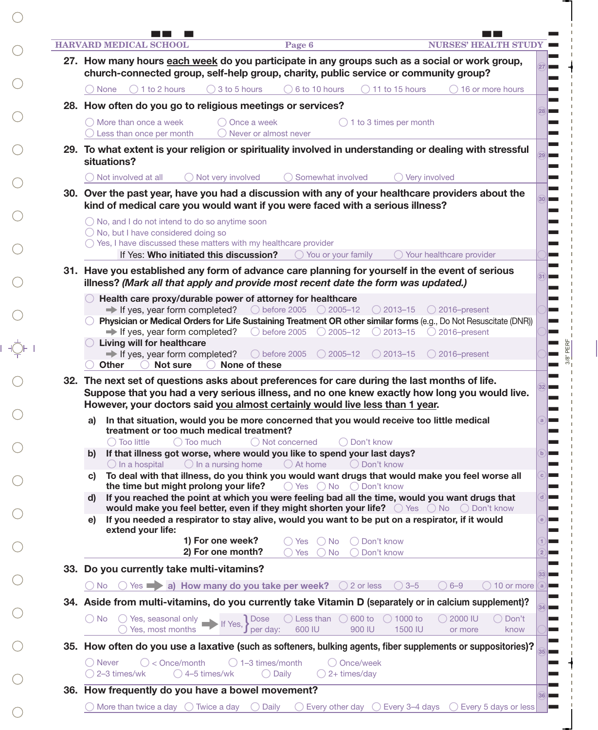| <b>HARVARD MEDICAL SCHOOL</b><br><b>NURSES' HEALTH STUDY</b><br>Page 6                                                                                                                                                                                                         |  |
|--------------------------------------------------------------------------------------------------------------------------------------------------------------------------------------------------------------------------------------------------------------------------------|--|
| 27. How many hours each week do you participate in any groups such as a social or work group,<br>church-connected group, self-help group, charity, public service or community group?                                                                                          |  |
| 1 to 2 hours<br>3 to 5 hours<br>6 to 10 hours<br>11 to 15 hours<br>16 or more hours<br>None                                                                                                                                                                                    |  |
| 28. How often do you go to religious meetings or services?                                                                                                                                                                                                                     |  |
| $\bigcap$ More than once a week<br>Once a week<br>1 to 3 times per month<br>Less than once per month<br>Never or almost never                                                                                                                                                  |  |
| 29. To what extent is your religion or spirituality involved in understanding or dealing with stressful<br>situations?                                                                                                                                                         |  |
| Not involved at all<br>Not very involved<br>Somewhat involved<br>Very involved                                                                                                                                                                                                 |  |
| 30. Over the past year, have you had a discussion with any of your healthcare providers about the<br>kind of medical care you would want if you were faced with a serious illness?                                                                                             |  |
| $\bigcirc$ No, and I do not intend to do so anytime soon<br>◯ No, but I have considered doing so<br>$\bigcirc$ Yes, I have discussed these matters with my healthcare provider                                                                                                 |  |
| If Yes: Who initiated this discussion?<br>$\bigcirc$ You or your family<br>Your healthcare provider                                                                                                                                                                            |  |
| 31. Have you established any form of advance care planning for yourself in the event of serious<br>illness? (Mark all that apply and provide most recent date the form was updated.)                                                                                           |  |
| Health care proxy/durable power of attorney for healthcare                                                                                                                                                                                                                     |  |
| ◯ before 2005 ◯ 2005-12<br>$\Rightarrow$ If yes, year form completed?<br>$\bigcirc$ 2013-15<br>$\bigcirc$ 2016-present                                                                                                                                                         |  |
| Physician or Medical Orders for Life Sustaining Treatment OR other similar forms (e.g., Do Not Resuscitate (DNR))<br>$\rightarrow$ If yes, year form completed?<br>◯ before 2005 $\bigcirc$ 2005-12<br>$\bigcirc$ 2016-present<br>$\bigcirc$ 2013–15                           |  |
| Living will for healthcare                                                                                                                                                                                                                                                     |  |
| $\Rightarrow$ If yes, year form completed?<br>$\bigcirc$ before 2005<br>$\bigcirc$ 2005-12<br>$2013 - 15$<br>2016-present<br>Not sure<br>None of these<br><b>Other</b>                                                                                                         |  |
|                                                                                                                                                                                                                                                                                |  |
| 32. The next set of questions asks about preferences for care during the last months of life.<br>Suppose that you had a very serious illness, and no one knew exactly how long you would live.<br>However, your doctors said you almost certainly would live less than 1 year. |  |
| a) In that situation, would you be more concerned that you would receive too little medical<br>treatment or too much medical treatment?                                                                                                                                        |  |
| $\bigcirc$ Too little<br>$\bigcap$ Too much<br>◯ Not concerned<br>$\bigcap$ Don't know                                                                                                                                                                                         |  |
| If that illness got worse, where would you like to spend your last days?<br>b)<br>$\bigcirc$ At home<br>◯ Don't know                                                                                                                                                           |  |
| $\bigcirc$ In a hospital<br>$\bigcirc$ In a nursing home<br>To deal with that illness, do you think you would want drugs that would make you feel worse all<br>C)                                                                                                              |  |
| the time but might prolong your life?<br>$\bigcirc$ Yes $\bigcirc$ No $\bigcirc$ Don't know<br>If you reached the point at which you were feeling bad all the time, would you want drugs that<br>d)                                                                            |  |
| would make you feel better, even if they might shorten your life? O Yes O No O Don't know<br>If you needed a respirator to stay alive, would you want to be put on a respirator, if it would<br>e)<br>extend your life:                                                        |  |
| 1) For one week?<br>◯ Don't know<br>Yes<br>$()$ No                                                                                                                                                                                                                             |  |
| 2) For one month?<br>Don't know<br><b>Yes</b><br>No                                                                                                                                                                                                                            |  |
| 33. Do you currently take multi-vitamins?                                                                                                                                                                                                                                      |  |
| Yes $\rightarrow$ a) How many do you take per week? $\bigcirc$ 2 or less<br>$\bigcirc$ 3-5<br>$6 - 9$<br>10 or more<br>No.                                                                                                                                                     |  |
| 34. Aside from multi-vitamins, do you currently take Vitamin D (separately or in calcium supplement)?                                                                                                                                                                          |  |
| <b>Dose</b><br>$\bigcirc$ Less than $\bigcirc$ 600 to<br>$\bigcirc$ 1000 to<br>$\bigcirc$ 2000 IU<br>$\bigcirc$ Yes, seasonal only<br>Don't<br>( )No<br>If Yes,<br>600 IU<br>per day:<br>Yes, most months<br>900 IU<br>1500 IU<br>know<br>or more                              |  |
| 35. How often do you use a laxative (such as softeners, bulking agents, fiber supplements or suppositories)?                                                                                                                                                                   |  |
| $\bigcirc$ 1–3 times/month<br>○ Once/week<br>◯ Never<br>$\bigcirc$ < Once/month<br>2-3 times/wk<br>$\bigcirc$ 4–5 times/wk<br>$\bigcirc$ Daily<br>$\bigcirc$ 2+ times/day                                                                                                      |  |

 $\bigcirc$ 

 $\bigcirc$ 

 $\bigcirc$ 

 $\bigcirc$ 

 $\bigcirc$ 

 $\bigcirc$ 

 $\bigcirc$ 

 $\bigcirc$ 

 $\bigcirc$ 

 $\bigcirc$ 

 $\frac{1}{\sqrt{2}}\sum_{i=1}^{n} \frac{1}{i} \left( \frac{1}{\sqrt{2}} \right)^{n}$ 

 $\bigcirc$ 

 $\bigcirc$ 

 $\bigcirc$ 

 $\bigcirc$ 

 $\bigcirc$ 

 $\bigcirc$ 

 $\bigcirc$ 

 $\bigcirc$ 

 $\bigcirc$ 

 $\bigcirc$ 

 $\bigcirc$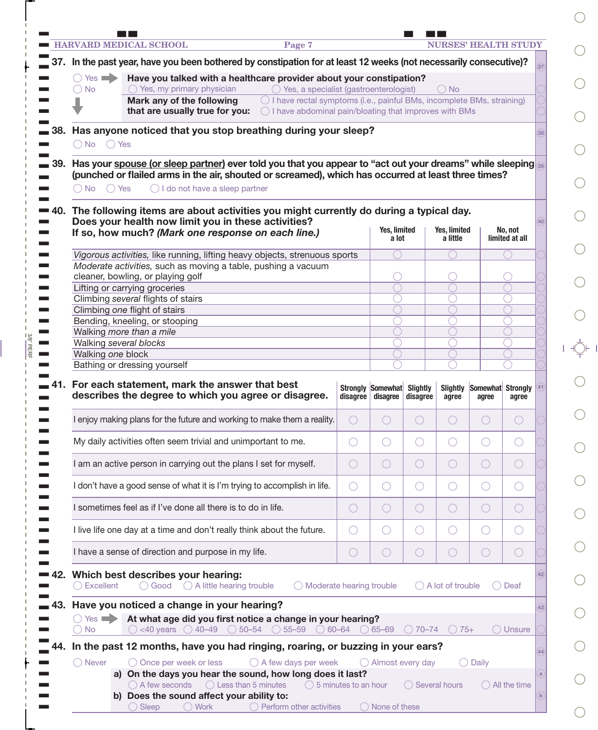|       |                                                                                           | <b>HARVARD MEDICAL SCHOOL</b>                                                             | Page 7                                                                                                                                                                                                          |            |                               |                             |                             | <b>NURSES' HEALTH STUDY</b> |                           |    |  |  |
|-------|-------------------------------------------------------------------------------------------|-------------------------------------------------------------------------------------------|-----------------------------------------------------------------------------------------------------------------------------------------------------------------------------------------------------------------|------------|-------------------------------|-----------------------------|-----------------------------|-----------------------------|---------------------------|----|--|--|
|       |                                                                                           |                                                                                           | 37. In the past year, have you been bothered by constipation for at least 12 weeks (not necessarily consecutive)?                                                                                               |            |                               |                             |                             |                             |                           |    |  |  |
|       | $\bigcap$ Yes $\blacksquare$                                                              |                                                                                           | Have you talked with a healthcare provider about your constipation?                                                                                                                                             |            |                               |                             |                             |                             |                           |    |  |  |
|       | $\bigcirc$ No                                                                             | $\bigcirc$ Yes, my primary physician                                                      | $\bigcirc$ Yes, a specialist (gastroenterologist)                                                                                                                                                               |            |                               |                             | $\bigcirc$ No               |                             |                           |    |  |  |
|       |                                                                                           | Mark any of the following                                                                 | $\bigcirc$ I have rectal symptoms (i.e., painful BMs, incomplete BMs, straining)                                                                                                                                |            |                               |                             |                             |                             |                           |    |  |  |
|       | that are usually true for you:<br>◯ I have abdominal pain/bloating that improves with BMs |                                                                                           |                                                                                                                                                                                                                 |            |                               |                             |                             |                             |                           |    |  |  |
| 38.   | Has anyone noticed that you stop breathing during your sleep?                             |                                                                                           |                                                                                                                                                                                                                 |            |                               |                             |                             |                             |                           |    |  |  |
|       | ○ No ○ Yes                                                                                |                                                                                           |                                                                                                                                                                                                                 |            |                               |                             |                             |                             |                           |    |  |  |
| 39.   | $\bigcap$ No $\bigcap$ Yes                                                                | $\bigcirc$ I do not have a sleep partner                                                  | Has your spouse (or sleep partner) ever told you that you appear to "act out your dreams" while sleeping<br>(punched or flailed arms in the air, shouted or screamed), which has occurred at least three times? |            |                               |                             |                             |                             |                           |    |  |  |
| ➡ 40. |                                                                                           |                                                                                           | The following items are about activities you might currently do during a typical day.                                                                                                                           |            |                               |                             |                             |                             |                           |    |  |  |
|       |                                                                                           | Does your health now limit you in these activities?                                       |                                                                                                                                                                                                                 |            |                               |                             |                             |                             |                           | 40 |  |  |
|       |                                                                                           |                                                                                           | If so, how much? (Mark one response on each line.)                                                                                                                                                              |            | Yes, limited<br>a lot         |                             | Yes, limited<br>a little    |                             | No, not<br>limited at all |    |  |  |
|       |                                                                                           |                                                                                           |                                                                                                                                                                                                                 |            |                               |                             |                             |                             |                           |    |  |  |
|       |                                                                                           |                                                                                           | Vigorous activities, like running, lifting heavy objects, strenuous sports<br>Moderate activities, such as moving a table, pushing a vacuum                                                                     |            |                               |                             |                             |                             |                           |    |  |  |
|       |                                                                                           | cleaner, bowling, or playing golf                                                         |                                                                                                                                                                                                                 |            |                               |                             |                             |                             |                           |    |  |  |
|       |                                                                                           | Lifting or carrying groceries                                                             |                                                                                                                                                                                                                 |            |                               |                             |                             |                             |                           |    |  |  |
|       |                                                                                           | Climbing several flights of stairs<br>Climbing one flight of stairs                       |                                                                                                                                                                                                                 |            |                               |                             |                             |                             |                           |    |  |  |
|       |                                                                                           | Bending, kneeling, or stooping                                                            |                                                                                                                                                                                                                 |            |                               |                             |                             |                             |                           |    |  |  |
|       |                                                                                           | Walking more than a mile                                                                  |                                                                                                                                                                                                                 |            |                               |                             |                             |                             |                           |    |  |  |
|       | Walking several blocks                                                                    |                                                                                           |                                                                                                                                                                                                                 |            |                               |                             |                             |                             |                           |    |  |  |
|       | Walking one block                                                                         |                                                                                           |                                                                                                                                                                                                                 |            |                               |                             |                             |                             |                           |    |  |  |
|       |                                                                                           | Bathing or dressing yourself                                                              |                                                                                                                                                                                                                 |            |                               |                             |                             |                             |                           |    |  |  |
|       |                                                                                           | For each statement, mark the answer that best                                             | describes the degree to which you agree or disagree.                                                                                                                                                            | disagree   | Strongly Somewhat<br>disagree | <b>Slightly</b><br>disagree | <b>Slightly</b><br>agree    | Somewhat Strongly<br>agree  | agree                     |    |  |  |
|       |                                                                                           |                                                                                           | enjoy making plans for the future and working to make them a reality.                                                                                                                                           |            |                               |                             |                             |                             |                           |    |  |  |
|       |                                                                                           | My daily activities often seem trivial and unimportant to me.                             |                                                                                                                                                                                                                 | O          | $\bigcirc$                    | O                           | O                           | $\bigcirc$                  | $(\ )$                    |    |  |  |
|       |                                                                                           | I am an active person in carrying out the plans I set for myself.                         |                                                                                                                                                                                                                 | $\bigcirc$ | $\bigcirc$                    | $\bigcirc$                  | O                           | $\bigcirc$                  | $( \ )$                   |    |  |  |
|       |                                                                                           |                                                                                           | I don't have a good sense of what it is I'm trying to accomplish in life.                                                                                                                                       | $\bigcirc$ | $\bigcirc$                    | $\bigcirc$                  | $\bigcirc$                  | O                           | $($ )                     |    |  |  |
|       |                                                                                           | I sometimes feel as if I've done all there is to do in life.                              |                                                                                                                                                                                                                 | $\bigcirc$ | $\bigcirc$                    | $\bigcirc$                  | O                           | O                           | $( \ )$                   |    |  |  |
|       |                                                                                           |                                                                                           | I live life one day at a time and don't really think about the future.                                                                                                                                          | O          | $\bigcirc$                    | $\bigcirc$                  | O                           | O                           | $(\ )$                    |    |  |  |
|       |                                                                                           | I have a sense of direction and purpose in my life.                                       |                                                                                                                                                                                                                 | O          | $\bigcirc$                    | $\bigcirc$                  | $\bigcirc$                  | $\bigcirc$                  | $( \ )$                   |    |  |  |
|       | $\bigcirc$ Excellent                                                                      | Which best describes your hearing:<br>$\bigcirc$ Good $\bigcirc$ A little hearing trouble | $\bigcirc$ Moderate hearing trouble                                                                                                                                                                             |            |                               |                             | $\bigcirc$ A lot of trouble |                             | $\bigcirc$ Deaf           | 42 |  |  |
| 43.   | $\bigcap$ Yes<br><b>No</b>                                                                | Have you noticed a change in your hearing?                                                | At what age did you first notice a change in your hearing?<br>$\circ$ <40 years $\circ$ 40-49 $\circ$ 50-54 $\circ$ 55-59 $\circ$ 60-64 $\circ$ 65-69                                                           |            |                               | $\bigcirc$ 70–74            | $\bigcirc$ 75+              |                             | $\bigcirc$ Unsure         | 43 |  |  |
|       |                                                                                           |                                                                                           | In the past 12 months, have you had ringing, roaring, or buzzing in your ears?                                                                                                                                  |            |                               |                             |                             |                             |                           |    |  |  |
|       | ◯ Never                                                                                   | ◯ Once per week or less                                                                   | $\bigcirc$ A few days per week                                                                                                                                                                                  |            | $\bigcirc$ Almost every day   |                             |                             | $\bigcirc$ Daily            |                           | 44 |  |  |
|       |                                                                                           | a) On the days you hear the sound, how long does it last?                                 |                                                                                                                                                                                                                 |            |                               |                             |                             |                             |                           |    |  |  |